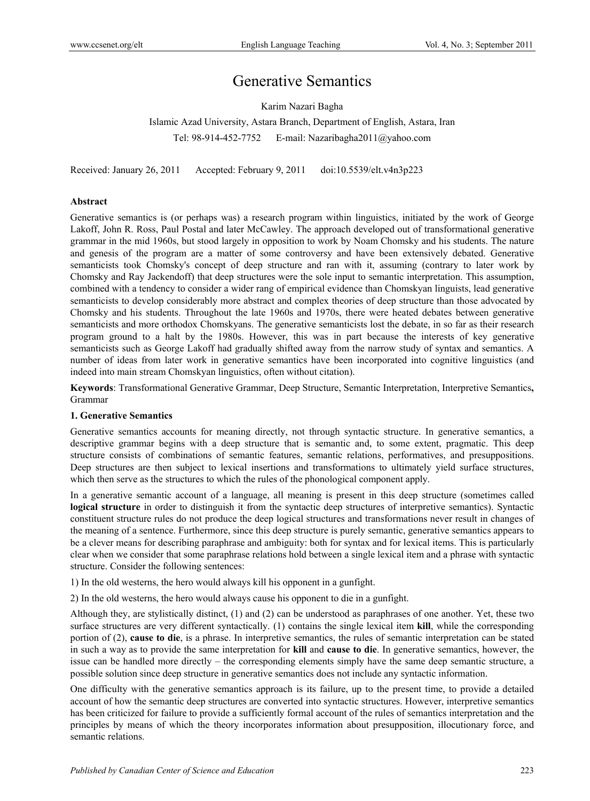# Generative Semantics

Karim Nazari Bagha

Islamic Azad University, Astara Branch, Department of English, Astara, Iran Tel: 98-914-452-7752 E-mail: Nazaribagha2011@yahoo.com

Received: January 26, 2011 Accepted: February 9, 2011 doi:10.5539/elt.v4n3p223

#### **Abstract**

Generative semantics is (or perhaps was) a research program within linguistics, initiated by the work of George Lakoff, John R. Ross, Paul Postal and later McCawley. The approach developed out of transformational generative grammar in the mid 1960s, but stood largely in opposition to work by Noam Chomsky and his students. The nature and genesis of the program are a matter of some controversy and have been extensively debated. Generative semanticists took Chomsky's concept of deep structure and ran with it, assuming (contrary to later work by Chomsky and Ray Jackendoff) that deep structures were the sole input to semantic interpretation. This assumption, combined with a tendency to consider a wider rang of empirical evidence than Chomskyan linguists, lead generative semanticists to develop considerably more abstract and complex theories of deep structure than those advocated by Chomsky and his students. Throughout the late 1960s and 1970s, there were heated debates between generative semanticists and more orthodox Chomskyans. The generative semanticists lost the debate, in so far as their research program ground to a halt by the 1980s. However, this was in part because the interests of key generative semanticists such as George Lakoff had gradually shifted away from the narrow study of syntax and semantics. A number of ideas from later work in generative semantics have been incorporated into cognitive linguistics (and indeed into main stream Chomskyan linguistics, often without citation).

**Keywords**: Transformational Generative Grammar, Deep Structure, Semantic Interpretation, Interpretive Semantics**,**  Grammar

#### **1. Generative Semantics**

Generative semantics accounts for meaning directly, not through syntactic structure. In generative semantics, a descriptive grammar begins with a deep structure that is semantic and, to some extent, pragmatic. This deep structure consists of combinations of semantic features, semantic relations, performatives, and presuppositions. Deep structures are then subject to lexical insertions and transformations to ultimately yield surface structures, which then serve as the structures to which the rules of the phonological component apply.

In a generative semantic account of a language, all meaning is present in this deep structure (sometimes called **logical structure** in order to distinguish it from the syntactic deep structures of interpretive semantics). Syntactic constituent structure rules do not produce the deep logical structures and transformations never result in changes of the meaning of a sentence. Furthermore, since this deep structure is purely semantic, generative semantics appears to be a clever means for describing paraphrase and ambiguity: both for syntax and for lexical items. This is particularly clear when we consider that some paraphrase relations hold between a single lexical item and a phrase with syntactic structure. Consider the following sentences:

1) In the old westerns, the hero would always kill his opponent in a gunfight.

2) In the old westerns, the hero would always cause his opponent to die in a gunfight.

Although they, are stylistically distinct, (1) and (2) can be understood as paraphrases of one another. Yet, these two surface structures are very different syntactically. (1) contains the single lexical item **kill**, while the corresponding portion of (2), **cause to die**, is a phrase. In interpretive semantics, the rules of semantic interpretation can be stated in such a way as to provide the same interpretation for **kill** and **cause to die**. In generative semantics, however, the issue can be handled more directly – the corresponding elements simply have the same deep semantic structure, a possible solution since deep structure in generative semantics does not include any syntactic information.

One difficulty with the generative semantics approach is its failure, up to the present time, to provide a detailed account of how the semantic deep structures are converted into syntactic structures. However, interpretive semantics has been criticized for failure to provide a sufficiently formal account of the rules of semantics interpretation and the principles by means of which the theory incorporates information about presupposition, illocutionary force, and semantic relations.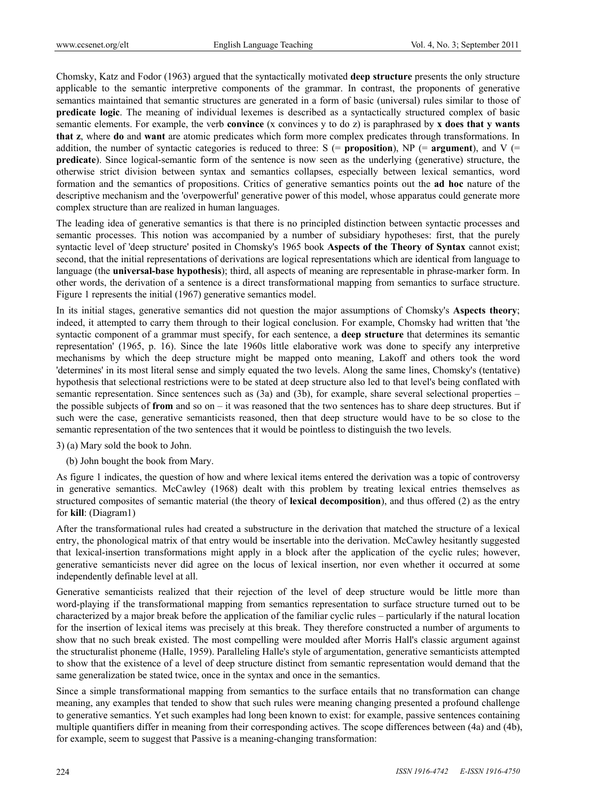Chomsky, Katz and Fodor (1963) argued that the syntactically motivated **deep structure** presents the only structure applicable to the semantic interpretive components of the grammar. In contrast, the proponents of generative semantics maintained that semantic structures are generated in a form of basic (universal) rules similar to those of **predicate logic**. The meaning of individual lexemes is described as a syntactically structured complex of basic semantic elements. For example, the verb **convince** (x convinces y to do z) is paraphrased by **x does that y wants that z**, where **do** and **want** are atomic predicates which form more complex predicates through transformations. In addition, the number of syntactic categories is reduced to three:  $S$  (= **proposition**), NP (= **argument**), and V (= **predicate**). Since logical-semantic form of the sentence is now seen as the underlying (generative) structure, the otherwise strict division between syntax and semantics collapses, especially between lexical semantics, word formation and the semantics of propositions. Critics of generative semantics points out the **ad hoc** nature of the descriptive mechanism and the 'overpowerful' generative power of this model, whose apparatus could generate more complex structure than are realized in human languages.

The leading idea of generative semantics is that there is no principled distinction between syntactic processes and semantic processes. This notion was accompanied by a number of subsidiary hypotheses: first, that the purely syntactic level of 'deep structure' posited in Chomsky's 1965 book **Aspects of the Theory of Syntax** cannot exist; second, that the initial representations of derivations are logical representations which are identical from language to language (the **universal-base hypothesis**); third, all aspects of meaning are representable in phrase-marker form. In other words, the derivation of a sentence is a direct transformational mapping from semantics to surface structure. Figure 1 represents the initial (1967) generative semantics model.

In its initial stages, generative semantics did not question the major assumptions of Chomsky's **Aspects theory**; indeed, it attempted to carry them through to their logical conclusion. For example, Chomsky had written that 'the syntactic component of a grammar must specify, for each sentence, a **deep structure** that determines its semantic representation' (1965, p. 16). Since the late 1960s little elaborative work was done to specify any interpretive mechanisms by which the deep structure might be mapped onto meaning, Lakoff and others took the word 'determines' in its most literal sense and simply equated the two levels. Along the same lines, Chomsky's (tentative) hypothesis that selectional restrictions were to be stated at deep structure also led to that level's being conflated with semantic representation. Since sentences such as (3a) and (3b), for example, share several selectional properties – the possible subjects of **from** and so on – it was reasoned that the two sentences has to share deep structures. But if such were the case, generative semanticists reasoned, then that deep structure would have to be so close to the semantic representation of the two sentences that it would be pointless to distinguish the two levels.

3) (a) Mary sold the book to John.

(b) John bought the book from Mary.

As figure 1 indicates, the question of how and where lexical items entered the derivation was a topic of controversy in generative semantics. McCawley (1968) dealt with this problem by treating lexical entries themselves as structured composites of semantic material (the theory of **lexical decomposition**), and thus offered (2) as the entry for **kill**: (Diagram1)

After the transformational rules had created a substructure in the derivation that matched the structure of a lexical entry, the phonological matrix of that entry would be insertable into the derivation. McCawley hesitantly suggested that lexical-insertion transformations might apply in a block after the application of the cyclic rules; however, generative semanticists never did agree on the locus of lexical insertion, nor even whether it occurred at some independently definable level at all.

Generative semanticists realized that their rejection of the level of deep structure would be little more than word-playing if the transformational mapping from semantics representation to surface structure turned out to be characterized by a major break before the application of the familiar cyclic rules – particularly if the natural location for the insertion of lexical items was precisely at this break. They therefore constructed a number of arguments to show that no such break existed. The most compelling were moulded after Morris Hall's classic argument against the structuralist phoneme (Halle, 1959). Paralleling Halle's style of argumentation, generative semanticists attempted to show that the existence of a level of deep structure distinct from semantic representation would demand that the same generalization be stated twice, once in the syntax and once in the semantics.

Since a simple transformational mapping from semantics to the surface entails that no transformation can change meaning, any examples that tended to show that such rules were meaning changing presented a profound challenge to generative semantics. Yet such examples had long been known to exist: for example, passive sentences containing multiple quantifiers differ in meaning from their corresponding actives. The scope differences between (4a) and (4b), for example, seem to suggest that Passive is a meaning-changing transformation: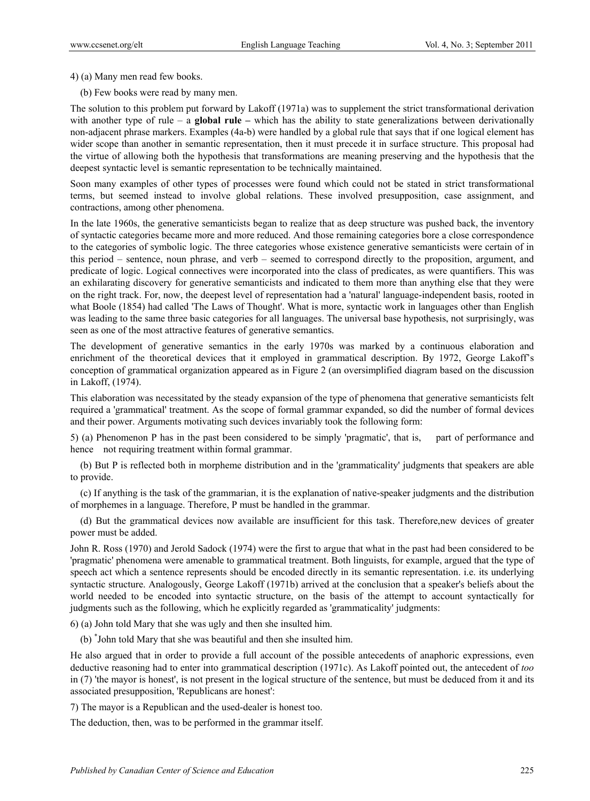4) (a) Many men read few books.

(b) Few books were read by many men.

The solution to this problem put forward by Lakoff (1971a) was to supplement the strict transformational derivation with another type of rule – a **global rule –** which has the ability to state generalizations between derivationally non-adjacent phrase markers. Examples (4a-b) were handled by a global rule that says that if one logical element has wider scope than another in semantic representation, then it must precede it in surface structure. This proposal had the virtue of allowing both the hypothesis that transformations are meaning preserving and the hypothesis that the deepest syntactic level is semantic representation to be technically maintained.

Soon many examples of other types of processes were found which could not be stated in strict transformational terms, but seemed instead to involve global relations. These involved presupposition, case assignment, and contractions, among other phenomena.

In the late 1960s, the generative semanticists began to realize that as deep structure was pushed back, the inventory of syntactic categories became more and more reduced. And those remaining categories bore a close correspondence to the categories of symbolic logic. The three categories whose existence generative semanticists were certain of in this period – sentence, noun phrase, and verb – seemed to correspond directly to the proposition, argument, and predicate of logic. Logical connectives were incorporated into the class of predicates, as were quantifiers. This was an exhilarating discovery for generative semanticists and indicated to them more than anything else that they were on the right track. For, now, the deepest level of representation had a 'natural' language-independent basis, rooted in what Boole (1854) had called 'The Laws of Thought'. What is more, syntactic work in languages other than English was leading to the same three basic categories for all languages. The universal base hypothesis, not surprisingly, was seen as one of the most attractive features of generative semantics.

The development of generative semantics in the early 1970s was marked by a continuous elaboration and enrichment of the theoretical devices that it employed in grammatical description. By 1972, George Lakoff's conception of grammatical organization appeared as in Figure 2 (an oversimplified diagram based on the discussion in Lakoff, (1974).

This elaboration was necessitated by the steady expansion of the type of phenomena that generative semanticists felt required a 'grammatical' treatment. As the scope of formal grammar expanded, so did the number of formal devices and their power. Arguments motivating such devices invariably took the following form:

5) (a) Phenomenon P has in the past been considered to be simply 'pragmatic', that is, part of performance and hence not requiring treatment within formal grammar.

(b) But P is reflected both in morpheme distribution and in the 'grammaticality' judgments that speakers are able to provide.

(c) If anything is the task of the grammarian, it is the explanation of native-speaker judgments and the distribution of morphemes in a language. Therefore, P must be handled in the grammar.

 (d) But the grammatical devices now available are insufficient for this task. Therefore,new devices of greater power must be added.

John R. Ross (1970) and Jerold Sadock (1974) were the first to argue that what in the past had been considered to be 'pragmatic' phenomena were amenable to grammatical treatment. Both linguists, for example, argued that the type of speech act which a sentence represents should be encoded directly in its semantic representation. i.e. its underlying syntactic structure. Analogously, George Lakoff (1971b) arrived at the conclusion that a speaker's beliefs about the world needed to be encoded into syntactic structure, on the basis of the attempt to account syntactically for judgments such as the following, which he explicitly regarded as 'grammaticality' judgments:

6) (a) John told Mary that she was ugly and then she insulted him.

(b) \* John told Mary that she was beautiful and then she insulted him.

He also argued that in order to provide a full account of the possible antecedents of anaphoric expressions, even deductive reasoning had to enter into grammatical description (1971c). As Lakoff pointed out, the antecedent of *too* in (7) 'the mayor is honest', is not present in the logical structure of the sentence, but must be deduced from it and its associated presupposition, 'Republicans are honest':

7) The mayor is a Republican and the used-dealer is honest too.

The deduction, then, was to be performed in the grammar itself.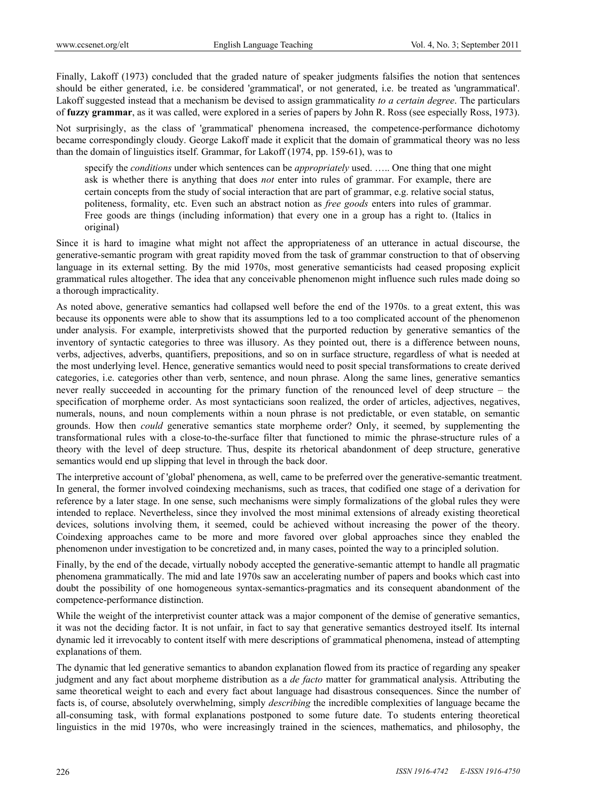Finally, Lakoff (1973) concluded that the graded nature of speaker judgments falsifies the notion that sentences should be either generated, i.e. be considered 'grammatical', or not generated, i.e. be treated as 'ungrammatical'. Lakoff suggested instead that a mechanism be devised to assign grammaticality *to a certain degree*. The particulars of **fuzzy grammar**, as it was called, were explored in a series of papers by John R. Ross (see especially Ross, 1973).

Not surprisingly, as the class of 'grammatical' phenomena increased, the competence-performance dichotomy became correspondingly cloudy. George Lakoff made it explicit that the domain of grammatical theory was no less than the domain of linguistics itself. Grammar, for Lakoff (1974, pp. 159-61), was to

specify the *conditions* under which sentences can be *appropriately* used. ….. One thing that one might ask is whether there is anything that does *not* enter into rules of grammar. For example, there are certain concepts from the study of social interaction that are part of grammar, e.g. relative social status, politeness, formality, etc. Even such an abstract notion as *free goods* enters into rules of grammar. Free goods are things (including information) that every one in a group has a right to. (Italics in original)

Since it is hard to imagine what might not affect the appropriateness of an utterance in actual discourse, the generative-semantic program with great rapidity moved from the task of grammar construction to that of observing language in its external setting. By the mid 1970s, most generative semanticists had ceased proposing explicit grammatical rules altogether. The idea that any conceivable phenomenon might influence such rules made doing so a thorough impracticality.

As noted above, generative semantics had collapsed well before the end of the 1970s. to a great extent, this was because its opponents were able to show that its assumptions led to a too complicated account of the phenomenon under analysis. For example, interpretivists showed that the purported reduction by generative semantics of the inventory of syntactic categories to three was illusory. As they pointed out, there is a difference between nouns, verbs, adjectives, adverbs, quantifiers, prepositions, and so on in surface structure, regardless of what is needed at the most underlying level. Hence, generative semantics would need to posit special transformations to create derived categories, i.e. categories other than verb, sentence, and noun phrase. Along the same lines, generative semantics never really succeeded in accounting for the primary function of the renounced level of deep structure – the specification of morpheme order. As most syntacticians soon realized, the order of articles, adjectives, negatives, numerals, nouns, and noun complements within a noun phrase is not predictable, or even statable, on semantic grounds. How then *could* generative semantics state morpheme order? Only, it seemed, by supplementing the transformational rules with a close-to-the-surface filter that functioned to mimic the phrase-structure rules of a theory with the level of deep structure. Thus, despite its rhetorical abandonment of deep structure, generative semantics would end up slipping that level in through the back door.

The interpretive account of 'global' phenomena, as well, came to be preferred over the generative-semantic treatment. In general, the former involved coindexing mechanisms, such as traces, that codified one stage of a derivation for reference by a later stage. In one sense, such mechanisms were simply formalizations of the global rules they were intended to replace. Nevertheless, since they involved the most minimal extensions of already existing theoretical devices, solutions involving them, it seemed, could be achieved without increasing the power of the theory. Coindexing approaches came to be more and more favored over global approaches since they enabled the phenomenon under investigation to be concretized and, in many cases, pointed the way to a principled solution.

Finally, by the end of the decade, virtually nobody accepted the generative-semantic attempt to handle all pragmatic phenomena grammatically. The mid and late 1970s saw an accelerating number of papers and books which cast into doubt the possibility of one homogeneous syntax-semantics-pragmatics and its consequent abandonment of the competence-performance distinction.

While the weight of the interpretivist counter attack was a major component of the demise of generative semantics, it was not the deciding factor. It is not unfair, in fact to say that generative semantics destroyed itself. Its internal dynamic led it irrevocably to content itself with mere descriptions of grammatical phenomena, instead of attempting explanations of them.

The dynamic that led generative semantics to abandon explanation flowed from its practice of regarding any speaker judgment and any fact about morpheme distribution as a *de facto* matter for grammatical analysis. Attributing the same theoretical weight to each and every fact about language had disastrous consequences. Since the number of facts is, of course, absolutely overwhelming, simply *describing* the incredible complexities of language became the all-consuming task, with formal explanations postponed to some future date. To students entering theoretical linguistics in the mid 1970s, who were increasingly trained in the sciences, mathematics, and philosophy, the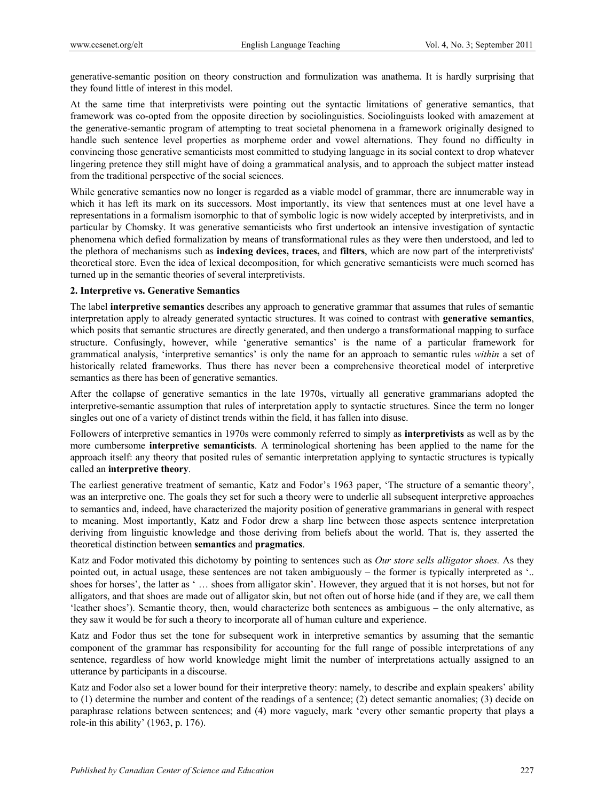generative-semantic position on theory construction and formulization was anathema. It is hardly surprising that they found little of interest in this model.

At the same time that interpretivists were pointing out the syntactic limitations of generative semantics, that framework was co-opted from the opposite direction by sociolinguistics. Sociolinguists looked with amazement at the generative-semantic program of attempting to treat societal phenomena in a framework originally designed to handle such sentence level properties as morpheme order and vowel alternations. They found no difficulty in convincing those generative semanticists most committed to studying language in its social context to drop whatever lingering pretence they still might have of doing a grammatical analysis, and to approach the subject matter instead from the traditional perspective of the social sciences.

While generative semantics now no longer is regarded as a viable model of grammar, there are innumerable way in which it has left its mark on its successors. Most importantly, its view that sentences must at one level have a representations in a formalism isomorphic to that of symbolic logic is now widely accepted by interpretivists, and in particular by Chomsky. It was generative semanticists who first undertook an intensive investigation of syntactic phenomena which defied formalization by means of transformational rules as they were then understood, and led to the plethora of mechanisms such as **indexing devices, traces,** and **filters**, which are now part of the interpretivists' theoretical store. Even the idea of lexical decomposition, for which generative semanticists were much scorned has turned up in the semantic theories of several interpretivists.

## **2. Interpretive vs. Generative Semantics**

The label **interpretive semantics** describes any approach to generative grammar that assumes that rules of semantic interpretation apply to already generated syntactic structures. It was coined to contrast with **generative semantics**, which posits that semantic structures are directly generated, and then undergo a transformational mapping to surface structure. Confusingly, however, while 'generative semantics' is the name of a particular framework for grammatical analysis, 'interpretive semantics' is only the name for an approach to semantic rules *within* a set of historically related frameworks. Thus there has never been a comprehensive theoretical model of interpretive semantics as there has been of generative semantics.

After the collapse of generative semantics in the late 1970s, virtually all generative grammarians adopted the interpretive-semantic assumption that rules of interpretation apply to syntactic structures. Since the term no longer singles out one of a variety of distinct trends within the field, it has fallen into disuse.

Followers of interpretive semantics in 1970s were commonly referred to simply as **interpretivists** as well as by the more cumbersome **interpretive semanticists**. A terminological shortening has been applied to the name for the approach itself: any theory that posited rules of semantic interpretation applying to syntactic structures is typically called an **interpretive theory**.

The earliest generative treatment of semantic, Katz and Fodor's 1963 paper, 'The structure of a semantic theory', was an interpretive one. The goals they set for such a theory were to underlie all subsequent interpretive approaches to semantics and, indeed, have characterized the majority position of generative grammarians in general with respect to meaning. Most importantly, Katz and Fodor drew a sharp line between those aspects sentence interpretation deriving from linguistic knowledge and those deriving from beliefs about the world. That is, they asserted the theoretical distinction between **semantics** and **pragmatics**.

Katz and Fodor motivated this dichotomy by pointing to sentences such as *Our store sells alligator shoes.* As they pointed out, in actual usage, these sentences are not taken ambiguously – the former is typically interpreted as '.. shoes for horses', the latter as ' … shoes from alligator skin'. However, they argued that it is not horses, but not for alligators, and that shoes are made out of alligator skin, but not often out of horse hide (and if they are, we call them 'leather shoes'). Semantic theory, then, would characterize both sentences as ambiguous – the only alternative, as they saw it would be for such a theory to incorporate all of human culture and experience.

Katz and Fodor thus set the tone for subsequent work in interpretive semantics by assuming that the semantic component of the grammar has responsibility for accounting for the full range of possible interpretations of any sentence, regardless of how world knowledge might limit the number of interpretations actually assigned to an utterance by participants in a discourse.

Katz and Fodor also set a lower bound for their interpretive theory: namely, to describe and explain speakers' ability to (1) determine the number and content of the readings of a sentence; (2) detect semantic anomalies; (3) decide on paraphrase relations between sentences; and (4) more vaguely, mark 'every other semantic property that plays a role-in this ability' (1963, p. 176).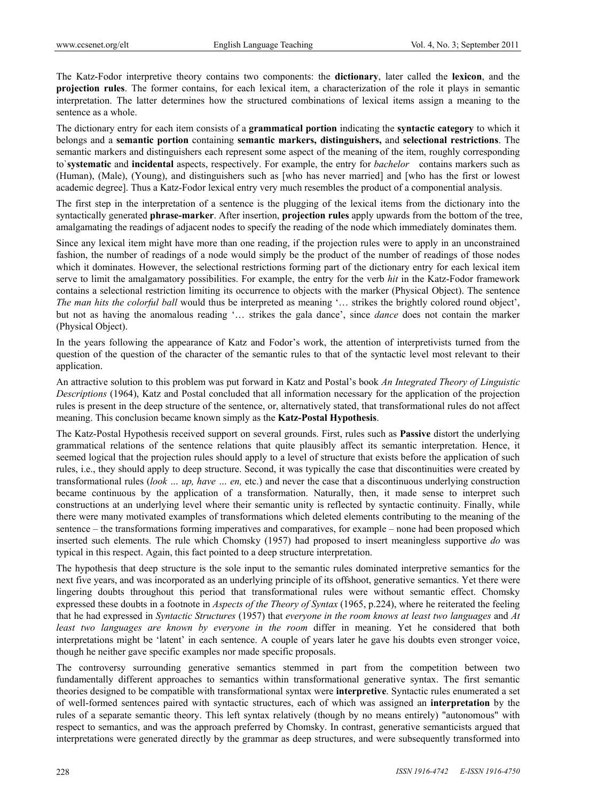The Katz-Fodor interpretive theory contains two components: the **dictionary**, later called the **lexicon**, and the **projection rules**. The former contains, for each lexical item, a characterization of the role it plays in semantic interpretation. The latter determines how the structured combinations of lexical items assign a meaning to the sentence as a whole.

The dictionary entry for each item consists of a **grammatical portion** indicating the **syntactic category** to which it belongs and a **semantic portion** containing **semantic markers, distinguishers,** and **selectional restrictions**. The semantic markers and distinguishers each represent some aspect of the meaning of the item, roughly corresponding to`**systematic** and **incidental** aspects, respectively. For example, the entry for *bachelor* contains markers such as (Human), (Male), (Young), and distinguishers such as [who has never married] and [who has the first or lowest academic degree]. Thus a Katz-Fodor lexical entry very much resembles the product of a componential analysis.

The first step in the interpretation of a sentence is the plugging of the lexical items from the dictionary into the syntactically generated **phrase-marker**. After insertion, **projection rules** apply upwards from the bottom of the tree, amalgamating the readings of adjacent nodes to specify the reading of the node which immediately dominates them.

Since any lexical item might have more than one reading, if the projection rules were to apply in an unconstrained fashion, the number of readings of a node would simply be the product of the number of readings of those nodes which it dominates. However, the selectional restrictions forming part of the dictionary entry for each lexical item serve to limit the amalgamatory possibilities. For example, the entry for the verb *hit* in the Katz-Fodor framework contains a selectional restriction limiting its occurrence to objects with the marker (Physical Object). The sentence *The man hits the colorful ball would thus be interpreted as meaning '... strikes the brightly colored round object',* but not as having the anomalous reading '… strikes the gala dance', since *dance* does not contain the marker (Physical Object).

In the years following the appearance of Katz and Fodor's work, the attention of interpretivists turned from the question of the question of the character of the semantic rules to that of the syntactic level most relevant to their application.

An attractive solution to this problem was put forward in Katz and Postal's book *An Integrated Theory of Linguistic Descriptions* (1964), Katz and Postal concluded that all information necessary for the application of the projection rules is present in the deep structure of the sentence, or, alternatively stated, that transformational rules do not affect meaning. This conclusion became known simply as the **Katz-Postal Hypothesis**.

The Katz-Postal Hypothesis received support on several grounds. First, rules such as **Passive** distort the underlying grammatical relations of the sentence relations that quite plausibly affect its semantic interpretation. Hence, it seemed logical that the projection rules should apply to a level of structure that exists before the application of such rules, i.e., they should apply to deep structure. Second, it was typically the case that discontinuities were created by transformational rules (*look … up, have … en,* etc.) and never the case that a discontinuous underlying construction became continuous by the application of a transformation. Naturally, then, it made sense to interpret such constructions at an underlying level where their semantic unity is reflected by syntactic continuity. Finally, while there were many motivated examples of transformations which deleted elements contributing to the meaning of the sentence – the transformations forming imperatives and comparatives, for example – none had been proposed which inserted such elements. The rule which Chomsky (1957) had proposed to insert meaningless supportive *do* was typical in this respect. Again, this fact pointed to a deep structure interpretation.

The hypothesis that deep structure is the sole input to the semantic rules dominated interpretive semantics for the next five years, and was incorporated as an underlying principle of its offshoot, generative semantics. Yet there were lingering doubts throughout this period that transformational rules were without semantic effect. Chomsky expressed these doubts in a footnote in *Aspects of the Theory of Syntax* (1965, p.224), where he reiterated the feeling that he had expressed in *Syntactic Structures* (1957) that *everyone in the room knows at least two languages* and *At least two languages are known by everyone in the room* differ in meaning. Yet he considered that both interpretations might be 'latent' in each sentence. A couple of years later he gave his doubts even stronger voice, though he neither gave specific examples nor made specific proposals.

The controversy surrounding generative semantics stemmed in part from the competition between two fundamentally different approaches to semantics within transformational generative syntax. The first semantic theories designed to be compatible with transformational syntax were **interpretive**. Syntactic rules enumerated a set of well-formed sentences paired with syntactic structures, each of which was assigned an **interpretation** by the rules of a separate semantic theory. This left syntax relatively (though by no means entirely) "autonomous" with respect to semantics, and was the approach preferred by Chomsky. In contrast, generative semanticists argued that interpretations were generated directly by the grammar as deep structures, and were subsequently transformed into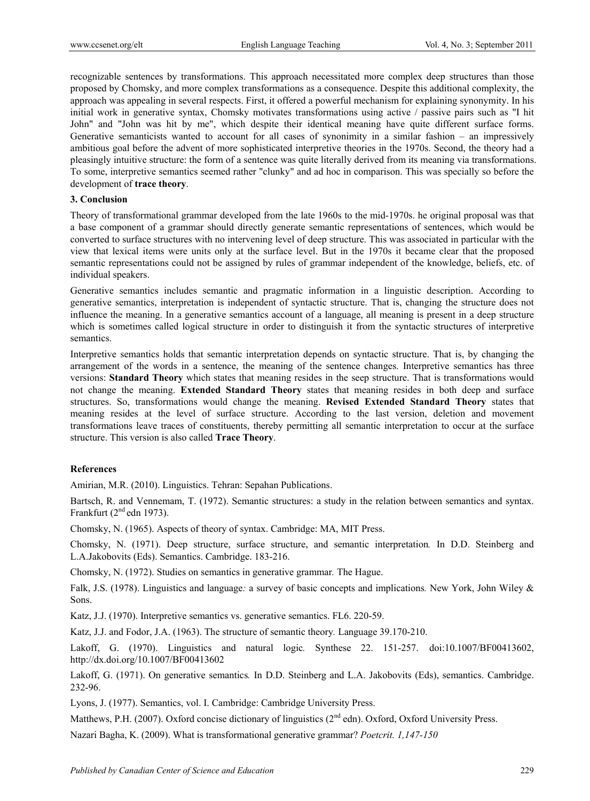recognizable sentences by transformations. This approach necessitated more complex deep structures than those proposed by Chomsky, and more complex transformations as a consequence. Despite this additional complexity, the approach was appealing in several respects. First, it offered a powerful mechanism for explaining synonymity. In his initial work in generative syntax, Chomsky motivates transformations using active / passive pairs such as "I hit John" and "John was hit by me", which despite their identical meaning have quite different surface forms. Generative semanticists wanted to account for all cases of synonimity in a similar fashion – an impressively ambitious goal before the advent of more sophisticated interpretive theories in the 1970s. Second, the theory had a pleasingly intuitive structure: the form of a sentence was quite literally derived from its meaning via transformations. To some, interpretive semantics seemed rather "clunky" and ad hoc in comparison. This was specially so before the development of **trace theory**.

## **3. Conclusion**

Theory of transformational grammar developed from the late 1960s to the mid-1970s. he original proposal was that a base component of a grammar should directly generate semantic representations of sentences, which would be converted to surface structures with no intervening level of deep structure. This was associated in particular with the view that lexical items were units only at the surface level. But in the 1970s it became clear that the proposed semantic representations could not be assigned by rules of grammar independent of the knowledge, beliefs, etc. of individual speakers.

Generative semantics includes semantic and pragmatic information in a linguistic description. According to generative semantics, interpretation is independent of syntactic structure. That is, changing the structure does not influence the meaning. In a generative semantics account of a language, all meaning is present in a deep structure which is sometimes called logical structure in order to distinguish it from the syntactic structures of interpretive semantics.

Interpretive semantics holds that semantic interpretation depends on syntactic structure. That is, by changing the arrangement of the words in a sentence, the meaning of the sentence changes. Interpretive semantics has three versions: **Standard Theory** which states that meaning resides in the seep structure. That is transformations would not change the meaning. **Extended Standard Theory** states that meaning resides in both deep and surface structures. So, transformations would change the meaning. **Revised Extended Standard Theory** states that meaning resides at the level of surface structure. According to the last version, deletion and movement transformations leave traces of constituents, thereby permitting all semantic interpretation to occur at the surface structure. This version is also called **Trace Theory**.

## **References**

Amirian, M.R. (2010). Linguistics. Tehran: Sepahan Publications.

Bartsch, R. and Vennemam, T. (1972). Semantic structures: a study in the relation between semantics and syntax. Frankfurt ( $2<sup>nd</sup>$ edn 1973).

Chomsky, N. (1965). Aspects of theory of syntax. Cambridge: MA, MIT Press.

Chomsky, N. (1971). Deep structure, surface structure, and semantic interpretation*.* In D.D. Steinberg and L.A.Jakobovits (Eds). Semantics. Cambridge. 183-216.

Chomsky, N. (1972). Studies on semantics in generative grammar*.* The Hague.

Falk, J.S. (1978). Linguistics and language*:* a survey of basic concepts and implications*.* New York, John Wiley & Sons.

Katz, J.J. (1970). Interpretive semantics vs. generative semantics. FL6. 220-59.

Katz, J.J. and Fodor, J.A. (1963). The structure of semantic theory*.* Language 39.170-210.

Lakoff, G. (1970). Linguistics and natural logic*.* Synthese 22. 151-257. doi:10.1007/BF00413602, http://dx.doi.org/10.1007/BF00413602

Lakoff, G. (1971). On generative semantics*.* In D.D. Steinberg and L.A. Jakobovits (Eds), semantics. Cambridge. 232-96.

Lyons, J. (1977). Semantics, vol. I. Cambridge: Cambridge University Press.

Matthews, P.H. (2007). Oxford concise dictionary of linguistics (2<sup>nd</sup> edn). Oxford, Oxford University Press.

Nazari Bagha, K. (2009). What is transformational generative grammar? *Poetcrit. 1,147-150*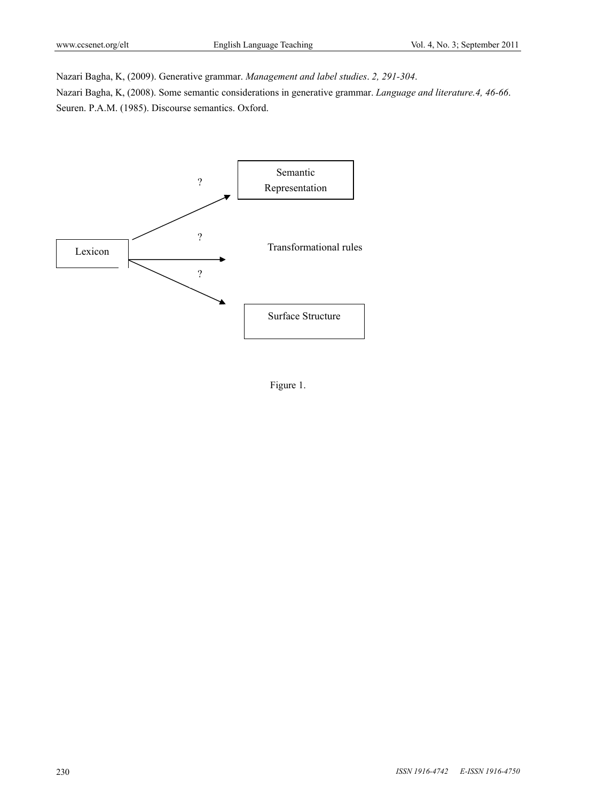Nazari Bagha, K, (2009). Generative grammar. *Management and label studies*. *2, 291-304*. Nazari Bagha, K, (2008). Some semantic considerations in generative grammar. *Language and literature.4, 46-66*. Seuren. P.A.M. (1985). Discourse semantics. Oxford.